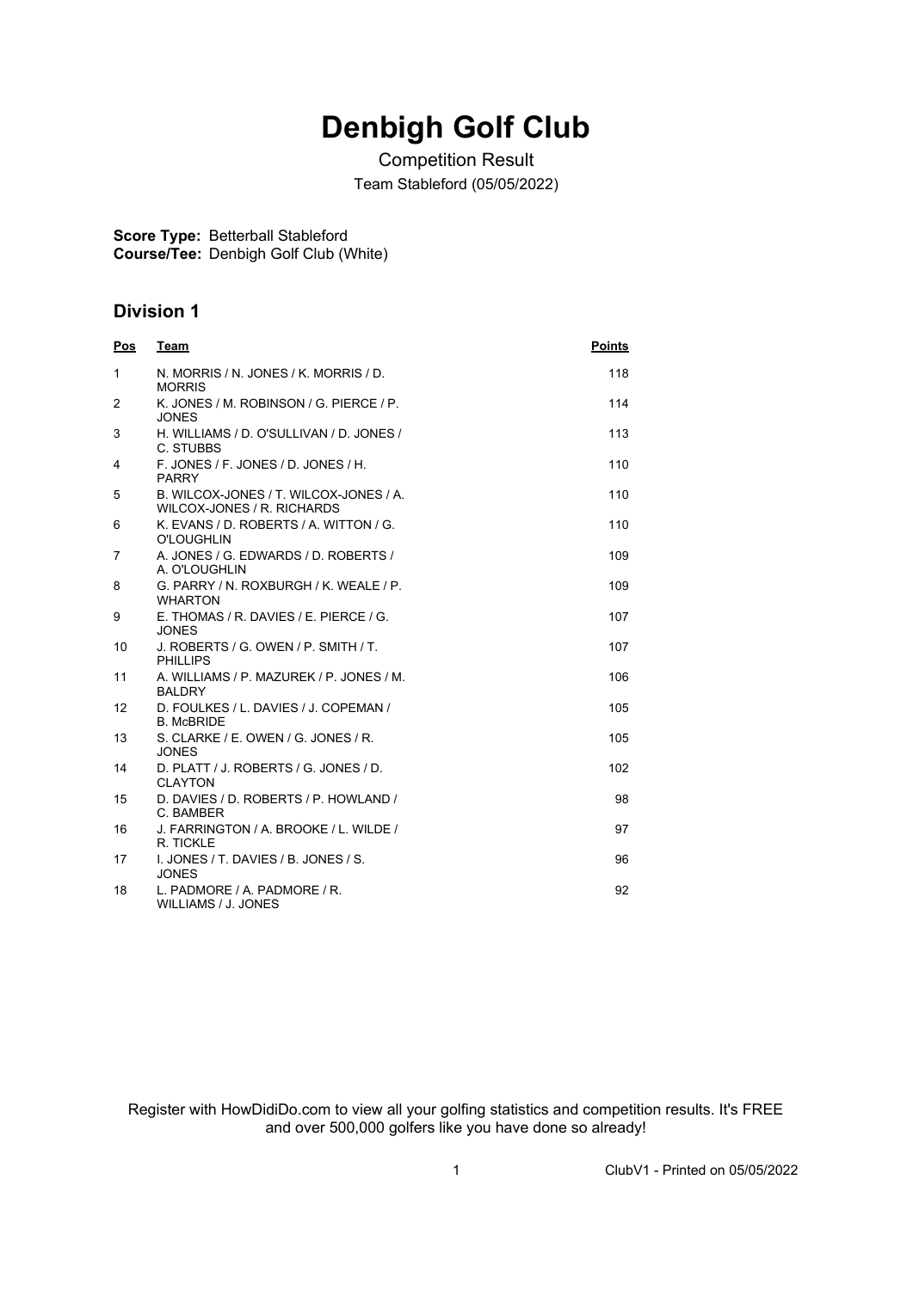## **Denbigh Golf Club**

Competition Result Team Stableford (05/05/2022)

**Score Type:** Betterball Stableford

**Course/Tee:** Denbigh Golf Club (White)

## **Division 1**

| <b>Pos</b>   | <b>Team</b>                                                          | <b>Points</b> |
|--------------|----------------------------------------------------------------------|---------------|
| $\mathbf{1}$ | N. MORRIS / N. JONES / K. MORRIS / D.<br><b>MORRIS</b>               | 118           |
| 2            | K. JONES / M. ROBINSON / G. PIERCE / P.<br><b>JONES</b>              | 114           |
| 3            | H. WILLIAMS / D. O'SULLIVAN / D. JONES /<br>C. STUBBS                | 113           |
| 4            | F. JONES / F. JONES / D. JONES / H.<br><b>PARRY</b>                  | 110           |
| 5            | B. WILCOX-JONES / T. WILCOX-JONES / A.<br>WILCOX-JONES / R. RICHARDS | 110           |
| 6            | K. EVANS / D. ROBERTS / A. WITTON / G.<br><b>O'LOUGHLIN</b>          | 110           |
| 7            | A. JONES / G. EDWARDS / D. ROBERTS /<br>A. O'LOUGHLIN                | 109           |
| 8            | G. PARRY / N. ROXBURGH / K. WEALE / P.<br><b>WHARTON</b>             | 109           |
| 9            | E. THOMAS / R. DAVIES / E. PIERCE / G.<br><b>JONES</b>               | 107           |
| 10           | J. ROBERTS / G. OWEN / P. SMITH / T.<br><b>PHILLIPS</b>              | 107           |
| 11           | A. WILLIAMS / P. MAZUREK / P. JONES / M.<br><b>BALDRY</b>            | 106           |
| 12           | D. FOULKES / L. DAVIES / J. COPEMAN /<br><b>B. McBRIDE</b>           | 105           |
| 13           | S. CLARKE / E. OWEN / G. JONES / R.<br><b>JONES</b>                  | 105           |
| 14           | D. PLATT / J. ROBERTS / G. JONES / D.<br><b>CLAYTON</b>              | 102           |
| 15           | D. DAVIES / D. ROBERTS / P. HOWLAND /<br>C. BAMBER                   | 98            |
| 16           | J. FARRINGTON / A. BROOKE / L. WILDE /<br>R. TICKLE                  | 97            |
| 17           | I. JONES / T. DAVIES / B. JONES / S.<br><b>JONES</b>                 | 96            |
| 18           | L. PADMORE / A. PADMORE / R.<br>WILLIAMS / J. JONES                  | 92            |

Register with HowDidiDo.com to view all your golfing statistics and competition results. It's FREE and over 500,000 golfers like you have done so already!